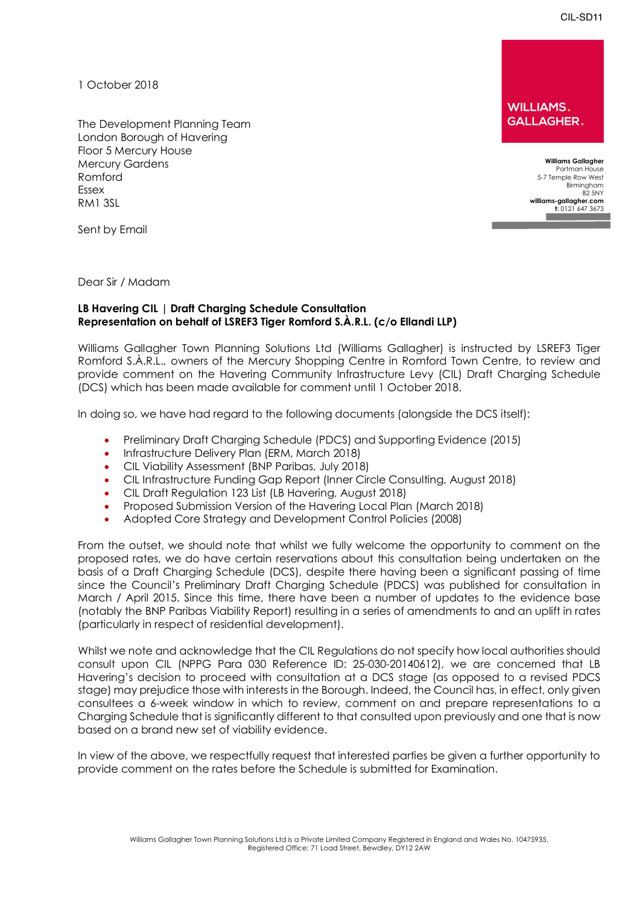CIL-SD11

1 October 2018

Romford 5-7 Temple Row West 1, 2008 1, 2008 1, 2008 1, 2008 1, 2008 1, 2008 1, 2008 1, 2009 1, 2008 1, 2009 1, 2009 1, 2009 1, 2009 1, 2009 1, 2009 1, 2009 1, 2009 1, 2009 1, 2009 1, 2009 1, 2009 1, 2009 1, 2009 1, 2009 1, The Development Planning Team London Borough of Havering Floor 5 Mercury House Mercury Gardens **Williams Gallagher**  Birmingham Birmingham Birmingham Birmingham Birmingham Birmingham Birmingham Birmingham Birmingham Birmingham Birmingham Birmingham Birmingham Birmingham Birmingham Birmingham Birmingham Birmingham Birmingham Birmingham Bi **[williams-gallagher.com](https://williams-gallagher.com)** RM1 3SL **t:** 0121 647 3673

**WILLIAMS. GALLAGHER.** 

> Birmingham<br>B2 5NY Portman House **m:** 07944 513 1256

**example of the sent by Email**  $\blacksquare$   $\blacksquare$   $\blacksquare$   $\blacksquare$   $\blacksquare$   $\blacksquare$   $\blacksquare$   $\blacksquare$   $\blacksquare$   $\blacksquare$   $\blacksquare$   $\blacksquare$   $\blacksquare$   $\blacksquare$   $\blacksquare$   $\blacksquare$   $\blacksquare$   $\blacksquare$   $\blacksquare$   $\blacksquare$   $\blacksquare$   $\blacksquare$   $\blacksquare$   $\blacksquare$   $\blacksquare$   $\blacksquare$   $\blacksquare$   $\$ 

Dear Sir / Madam

# **Representation on behalf of LSREF3 Tiger Romford S.À.R.L. (c/o Ellandi LLP) LB Havering CIL | Draft Charging Schedule Consultation**

 Williams Gallagher Town Planning Solutions Ltd (Williams Gallagher) is instructed by LSREF3 Tiger Romford S.À.R.L., owners of the Mercury Shopping Centre in Romford Town Centre, to review and provide comment on the Havering Community Infrastructure Levy (CIL) Draft Charging Schedule (DCS) which has been made available for comment until 1 October 2018.

In doing so, we have had regard to the following documents (alongside the DCS itself):

- Preliminary Draft Charging Schedule (PDCS) and Supporting Evidence (2015)
- Infrastructure Delivery Plan (ERM, March 2018)
- CIL Viability Assessment (BNP Paribas, July 2018)
- CIL Infrastructure Funding Gap Report (Inner Circle Consulting, August 2018)
- CIL Draft Regulation 123 List (LB Havering, August 2018)
- Proposed Submission Version of the Havering Local Plan (March 2018)
- Adopted Core Strategy and Development Control Policies (2008)

 From the outset, we should note that whilst we fully welcome the opportunity to comment on the proposed rates, we do have certain reservations about this consultation being undertaken on the basis of a Draft Charging Schedule (DCS), despite there having been a significant passing of time since the Council's Preliminary Draft Charging Schedule (PDCS) was published for consultation in March / April 2015. Since this time, there have been a number of updates to the evidence base (notably the BNP Paribas Viability Report) resulting in a series of amendments to and an uplift in rates (particularly in respect of residential development).

 Whilst we note and acknowledge that the CIL Regulations do not specify how local authorities should consult upon CIL (NPPG Para 030 Reference ID: 25-030-20140612), we are concerned that LB Havering's decision to proceed with consultation at a DCS stage (as opposed to a revised PDCS stage) may prejudice those with interests in the Borough. Indeed, the Council has, in effect, only given consultees a 6-week window in which to review, comment on and prepare representations to a Charging Schedule that is significantly different to that consulted upon previously and one that is now based on a brand new set of viability evidence.

 In view of the above, we respectfully request that interested parties be given a further opportunity to provide comment on the rates before the Schedule is submitted for Examination.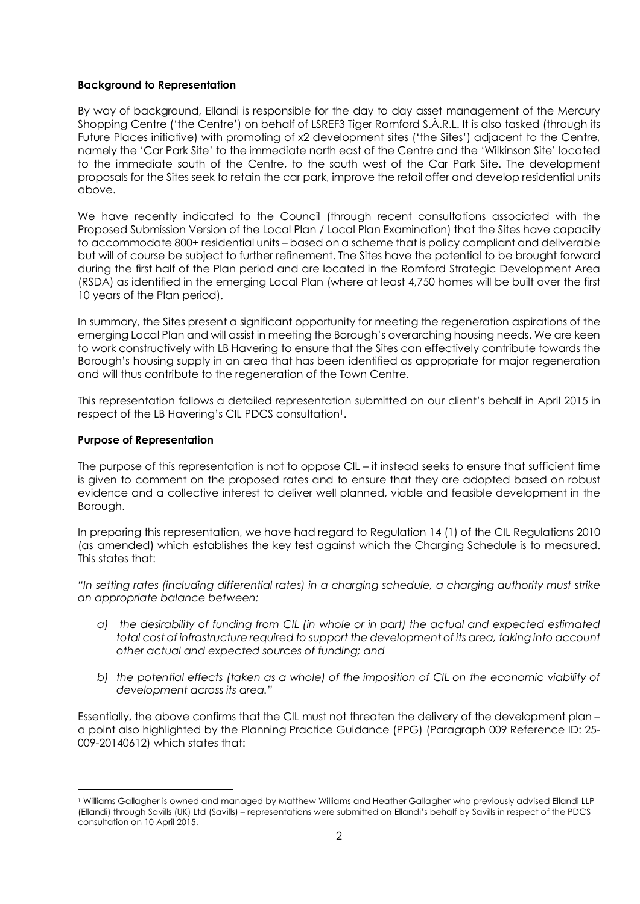### **Background to Representation**

 By way of background, Ellandi is responsible for the day to day asset management of the Mercury Shopping Centre ('the Centre') on behalf of LSREF3 Tiger Romford S.À.R.L. It is also tasked (through its Future Places initiative) with promoting of x2 development sites ('the Sites') adjacent to the Centre, namely the 'Car Park Site' to the immediate north east of the Centre and the 'Wilkinson Site' located to the immediate south of the Centre, to the south west of the Car Park Site. The development proposals for the Sites seek to retain the car park, improve the retail offer and develop residential units above.

 We have recently indicated to the Council (through recent consultations associated with the Proposed Submission Version of the Local Plan / Local Plan Examination) that the Sites have capacity to accommodate 800+ residential units – based on a scheme that is policy compliant and deliverable but will of course be subject to further refinement. The Sites have the potential to be brought forward during the first half of the Plan period and are located in the Romford Strategic Development Area (RSDA) as identified in the emerging Local Plan (where at least 4,750 homes will be built over the first 10 years of the Plan period).

 In summary, the Sites present a significant opportunity for meeting the regeneration aspirations of the emerging Local Plan and will assist in meeting the Borough's overarching housing needs. We are keen to work constructively with LB Havering to ensure that the Sites can effectively contribute towards the Borough's housing supply in an area that has been identified as appropriate for major regeneration and will thus contribute to the regeneration of the Town Centre.

 This representation follows a detailed representation submitted on our client's behalf in April 2015 in respect of the LB Havering's CIL PDCS consultation<sup>1</sup>.

#### **Purpose of Representation**

 $\overline{a}$ 

 The purpose of this representation is not to oppose CIL – it instead seeks to ensure that sufficient time is given to comment on the proposed rates and to ensure that they are adopted based on robust evidence and a collective interest to deliver well planned, viable and feasible development in the Borough.

 In preparing this representation, we have had regard to Regulation 14 (1) of the CIL Regulations 2010 (as amended) which establishes the key test against which the Charging Schedule is to measured. This states that:

 *"In setting rates (including differential rates) in a charging schedule, a charging authority must strike an appropriate balance between:* 

- *a) the desirability of funding from CIL (in whole or in part) the actual and expected estimated total cost of infrastructure required to support the development of its area, taking into account other actual and expected sources of funding; and*
- *b) the potential effects (taken as a whole) of the imposition of CIL on the economic viability of development across its area."*

 Essentially, the above confirms that the CIL must not threaten the delivery of the development plan – a point also highlighted by the Planning Practice Guidance (PPG) (Paragraph 009 Reference ID: 25- 009-20140612) which states that:

 (Ellandi) through Savills (UK) Ltd (Savills) – representations were submitted on Ellandi's behalf by Savills in respect of the PDCS consultation on 10 April 2015. 1 Williams Gallagher is owned and managed by Matthew Williams and Heather Gallagher who previously advised Ellandi LLP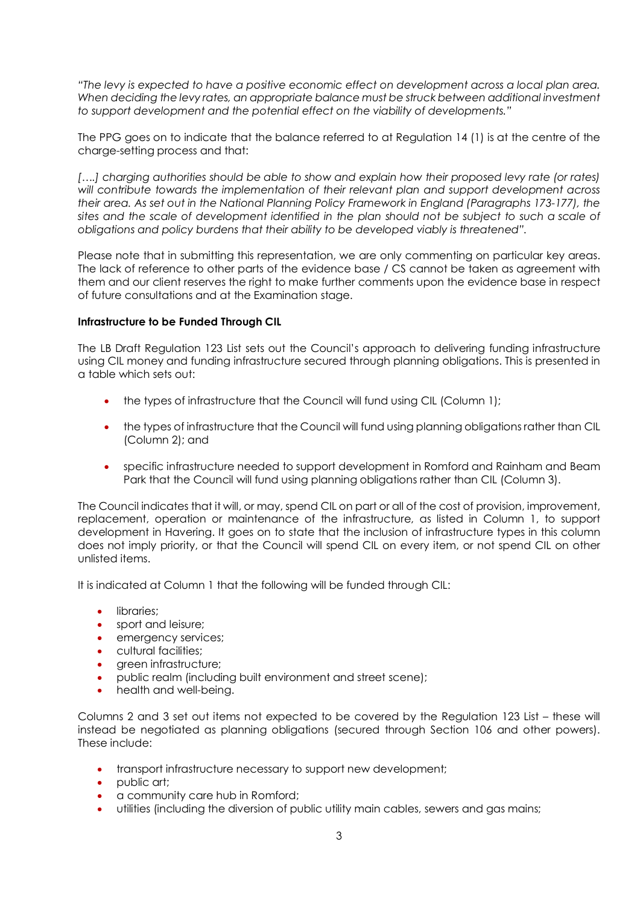*"The levy is expected to have a positive economic effect on development across a local plan area. When deciding the levy rates, an appropriate balance must be struck between additional investment to support development and the potential effect on the viability of developments."* 

 The PPG goes on to indicate that the balance referred to at Regulation 14 (1) is at the centre of the charge-setting process and that:

 *[….] charging authorities should be able to show and explain how their proposed levy rate (or rates) will contribute towards the implementation of their relevant plan and support development across their area. As set out in the National Planning Policy Framework in England (Paragraphs 173-177), the sites and the scale of development identified in the plan should not be subject to such a scale of obligations and policy burdens that their ability to be developed viably is threatened".* 

 Please note that in submitting this representation, we are only commenting on particular key areas. The lack of reference to other parts of the evidence base / CS cannot be taken as agreement with them and our client reserves the right to make further comments upon the evidence base in respect of future consultations and at the Examination stage.

## **Infrastructure to be Funded Through CIL**

 The LB Draft Regulation 123 List sets out the Council's approach to delivering funding infrastructure using CIL money and funding infrastructure secured through planning obligations. This is presented in a table which sets out:

- the types of infrastructure that the Council will fund using CIL (Column 1);
- • the types of infrastructure that the Council will fund using planning obligations rather than CIL (Column 2); and
- • specific infrastructure needed to support development in Romford and Rainham and Beam Park that the Council will fund using planning obligations rather than CIL (Column 3).

 The Council indicates that it will, or may, spend CIL on part or all of the cost of provision, improvement, replacement, operation or maintenance of the infrastructure, as listed in Column 1, to support development in Havering. It goes on to state that the inclusion of infrastructure types in this column does not imply priority, or that the Council will spend CIL on every item, or not spend CIL on other unlisted items.

It is indicated at Column 1 that the following will be funded through CIL:

- libraries:
- sport and leisure;
- emergency services;
- cultural facilities;
- green infrastructure;
- public realm (including built environment and street scene);
- health and well-being.

 Columns 2 and 3 set out items not expected to be covered by the Regulation 123 List – these will instead be negotiated as planning obligations (secured through Section 106 and other powers). These include:

- transport infrastructure necessary to support new development;
- public art;
- a community care hub in Romford;
- utilities (including the diversion of public utility main cables, sewers and gas mains;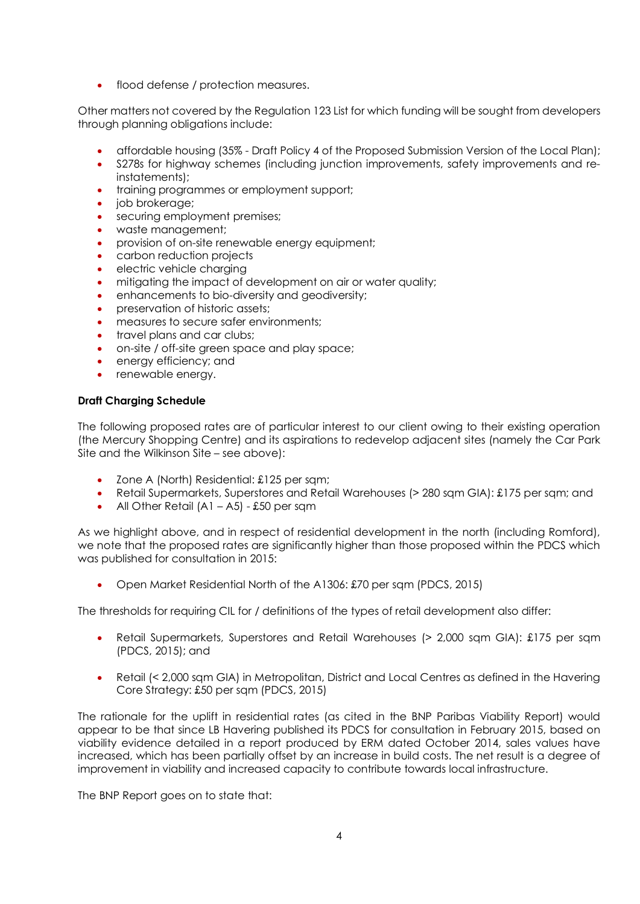• flood defense / protection measures.

 Other matters not covered by the Regulation 123 List for which funding will be sought from developers through planning obligations include:

- affordable housing (35% Draft Policy 4 of the Proposed Submission Version of the Local Plan);
- • S278s for highway schemes (including junction improvements, safety improvements and reinstatements);
- training programmes or employment support;
- job brokerage;
- securing employment premises;
- waste management;
- provision of on-site renewable energy equipment;
- carbon reduction projects
- electric vehicle charging
- mitigating the impact of development on air or water quality;
- enhancements to bio-diversity and geodiversity;
- preservation of historic assets;
- measures to secure safer environments;
- travel plans and car clubs;
- on-site / off-site green space and play space;
- energy efficiency; and
- renewable energy.

## **Draft Charging Schedule**

 The following proposed rates are of particular interest to our client owing to their existing operation (the Mercury Shopping Centre) and its aspirations to redevelop adjacent sites (namely the Car Park Site and the Wilkinson Site – see above):

- Zone A (North) Residential: £125 per sqm;
- Retail Supermarkets, Superstores and Retail Warehouses (> 280 sqm GIA): £175 per sqm; and
- All Other Retail  $(A1 A5)$  £50 per sqm

 As we highlight above, and in respect of residential development in the north (including Romford), we note that the proposed rates are significantly higher than those proposed within the PDCS which was published for consultation in 2015:

• Open Market Residential North of the A1306: £70 per sqm (PDCS, 2015)

The thresholds for requiring CIL for / definitions of the types of retail development also differ:

- Retail Supermarkets, Superstores and Retail Warehouses (> 2,000 sqm GIA): £175 per sqm (PDCS, 2015); and
- Retail (< 2,000 sqm GIA) in Metropolitan, District and Local Centres as defined in the Havering Core Strategy: £50 per sqm (PDCS, 2015)

 The rationale for the uplift in residential rates (as cited in the BNP Paribas Viability Report) would appear to be that since LB Havering published its PDCS for consultation in February 2015, based on viability evidence detailed in a report produced by ERM dated October 2014, sales values have increased, which has been partially offset by an increase in build costs. The net result is a degree of improvement in viability and increased capacity to contribute towards local infrastructure.

The BNP Report goes on to state that: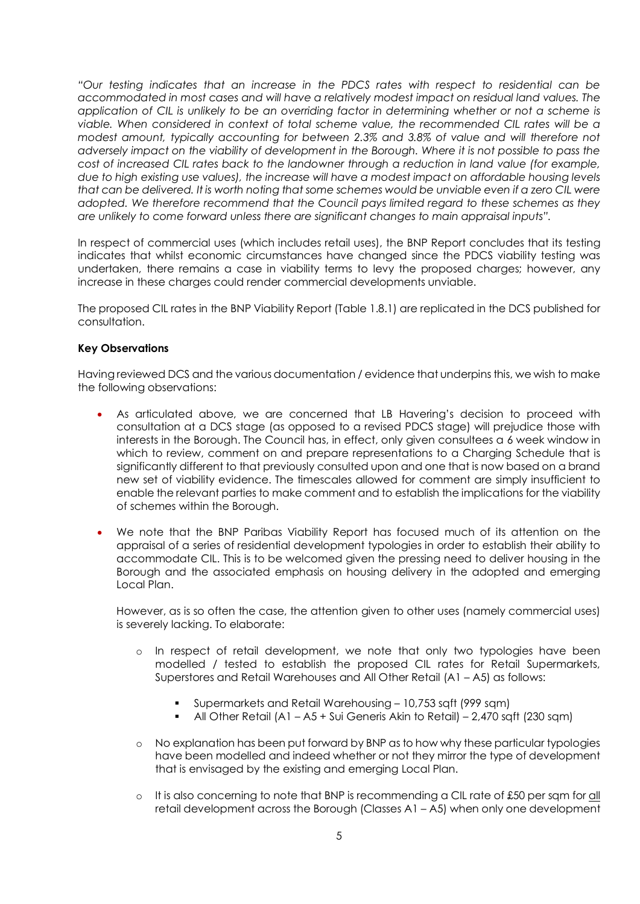*"Our testing indicates that an increase in the PDCS rates with respect to residential can be accommodated in most cases and will have a relatively modest impact on residual land values. The application of CIL is unlikely to be an overriding factor in determining whether or not a scheme is viable. When considered in context of total scheme value, the recommended CIL rates will be a modest amount, typically accounting for between 2.3% and 3.8% of value and will therefore not adversely impact on the viability of development in the Borough. Where it is not possible to pass the cost of increased CIL rates back to the landowner through a reduction in land value (for example, due to high existing use values), the increase will have a modest impact on affordable housing levels that can be delivered. It is worth noting that some schemes would be unviable even if a zero CIL were adopted. We therefore recommend that the Council pays limited regard to these schemes as they are unlikely to come forward unless there are significant changes to main appraisal inputs".* 

 In respect of commercial uses (which includes retail uses), the BNP Report concludes that its testing indicates that whilst economic circumstances have changed since the PDCS viability testing was undertaken, there remains a case in viability terms to levy the proposed charges; however, any increase in these charges could render commercial developments unviable.

 The proposed CIL rates in the BNP Viability Report (Table 1.8.1) are replicated in the DCS published for consultation.

## **Key Observations**

 Having reviewed DCS and the various documentation / evidence that underpins this, we wish to make the following observations:

- • As articulated above, we are concerned that LB Havering's decision to proceed with consultation at a DCS stage (as opposed to a revised PDCS stage) will prejudice those with interests in the Borough. The Council has, in effect, only given consultees a 6 week window in which to review, comment on and prepare representations to a Charging Schedule that is significantly different to that previously consulted upon and one that is now based on a brand new set of viability evidence. The timescales allowed for comment are simply insufficient to enable the relevant parties to make comment and to establish the implications for the viability of schemes within the Borough.
- • We note that the BNP Paribas Viability Report has focused much of its attention on the appraisal of a series of residential development typologies in order to establish their ability to accommodate CIL. This is to be welcomed given the pressing need to deliver housing in the Borough and the associated emphasis on housing delivery in the adopted and emerging Local Plan.

 However, as is so often the case, the attention given to other uses (namely commercial uses) is severely lacking. To elaborate:

- o In respect of retail development, we note that only two typologies have been modelled / tested to establish the proposed CIL rates for Retail Supermarkets, Superstores and Retail Warehouses and All Other Retail (A1 – A5) as follows:
	- Supermarkets and Retail Warehousing 10,753 sqft (999 sqm)
	- All Other Retail (A1 A5 + Sui Generis Akin to Retail) 2,470 sqft (230 sqm)
- o No explanation has been put forward by BNP as to how why these particular typologies have been modelled and indeed whether or not they mirror the type of development that is envisaged by the existing and emerging Local Plan.
- o It is also concerning to note that BNP is recommending a CIL rate of £50 per sqm for all retail development across the Borough (Classes A1 – A5) when only one development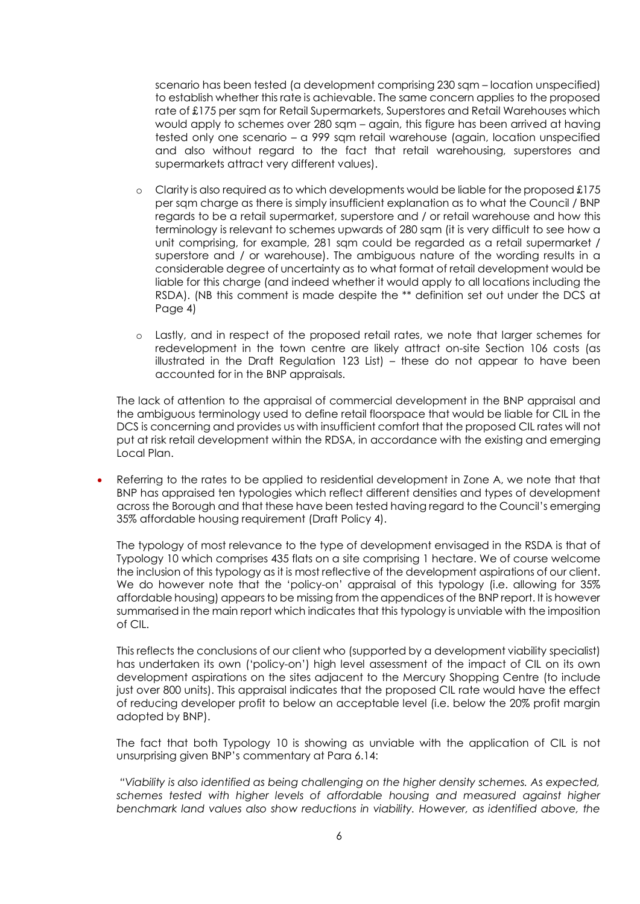scenario has been tested (a development comprising 230 sqm – location unspecified) to establish whether this rate is achievable. The same concern applies to the proposed rate of £175 per sqm for Retail Supermarkets, Superstores and Retail Warehouses which would apply to schemes over 280 sqm – again, this figure has been arrived at having tested only one scenario – a 999 sqm retail warehouse (again, location unspecified and also without regard to the fact that retail warehousing, superstores and supermarkets attract very different values).

- $\circ$  Clarity is also required as to which developments would be liable for the proposed £175 per sqm charge as there is simply insufficient explanation as to what the Council / BNP regards to be a retail supermarket, superstore and / or retail warehouse and how this terminology is relevant to schemes upwards of 280 sqm (it is very difficult to see how a unit comprising, for example, 281 sqm could be regarded as a retail supermarket / superstore and / or warehouse). The ambiguous nature of the wording results in a considerable degree of uncertainty as to what format of retail development would be liable for this charge (and indeed whether it would apply to all locations including the RSDA). (NB this comment is made despite the \*\* definition set out under the DCS at Page 4)
- o Lastly, and in respect of the proposed retail rates, we note that larger schemes for redevelopment in the town centre are likely attract on-site Section 106 costs (as illustrated in the Draft Regulation 123 List) – these do not appear to have been accounted for in the BNP appraisals.

 The lack of attention to the appraisal of commercial development in the BNP appraisal and the ambiguous terminology used to define retail floorspace that would be liable for CIL in the DCS is concerning and provides us with insufficient comfort that the proposed CIL rates will not put at risk retail development within the RDSA, in accordance with the existing and emerging Local Plan.

• Referring to the rates to be applied to residential development in Zone A, we note that that BNP has appraised ten typologies which reflect different densities and types of development across the Borough and that these have been tested having regard to the Council's emerging 35% affordable housing requirement (Draft Policy 4).

 The typology of most relevance to the type of development envisaged in the RSDA is that of Typology 10 which comprises 435 flats on a site comprising 1 hectare. We of course welcome the inclusion of this typology as it is most reflective of the development aspirations of our client. We do however note that the 'policy-on' appraisal of this typology (i.e. allowing for 35% affordable housing) appears to be missing from the appendices of the BNP report. It is however summarised in the main report which indicates that this typology is unviable with the imposition of CIL.

 This reflects the conclusions of our client who (supported by a development viability specialist) has undertaken its own ('policy-on') high level assessment of the impact of CIL on its own development aspirations on the sites adjacent to the Mercury Shopping Centre (to include just over 800 units). This appraisal indicates that the proposed CIL rate would have the effect of reducing developer profit to below an acceptable level (i.e. below the 20% profit margin adopted by BNP).

 The fact that both Typology 10 is showing as unviable with the application of CIL is not unsurprising given BNP's commentary at Para 6.14:

 *"Viability is also identified as being challenging on the higher density schemes. As expected, schemes tested with higher levels of affordable housing and measured against higher benchmark land values also show reductions in viability. However, as identified above, the*